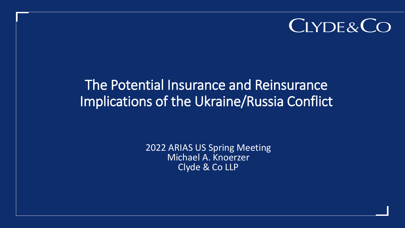# CLYDE&CO

## The Potential Insurance and Reinsurance Implications of the Ukraine/Russia Conflict

2022 ARIAS US Spring Meeting Michael A. Knoerzer Clyde & Co LLP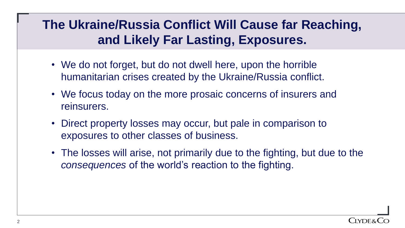### **The Ukraine/Russia Conflict Will Cause far Reaching, and Likely Far Lasting, Exposures.**

- We do not forget, but do not dwell here, upon the horrible humanitarian crises created by the Ukraine/Russia conflict.
- We focus today on the more prosaic concerns of insurers and reinsurers.
- Direct property losses may occur, but pale in comparison to exposures to other classes of business.
- The losses will arise, not primarily due to the fighting, but due to the *consequences* of the world's reaction to the fighting.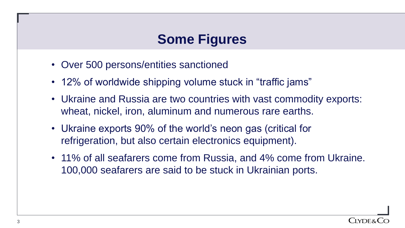### **Some Figures**

- Over 500 persons/entities sanctioned
- 12% of worldwide shipping volume stuck in "traffic jams"
- Ukraine and Russia are two countries with vast commodity exports: wheat, nickel, iron, aluminum and numerous rare earths.
- Ukraine exports 90% of the world's neon gas (critical for refrigeration, but also certain electronics equipment).
- 11% of all seafarers come from Russia, and 4% come from Ukraine. 100,000 seafarers are said to be stuck in Ukrainian ports.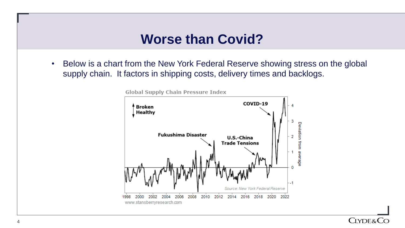#### **Worse than Covid?**

• Below is a chart from the New York Federal Reserve showing stress on the global supply chain. It factors in shipping costs, delivery times and backlogs.

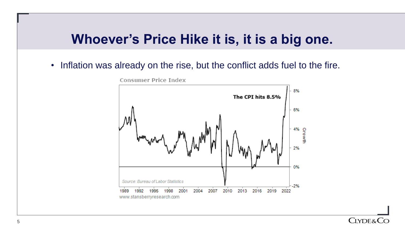#### **Whoever's Price Hike it is, it is a big one.**

• Inflation was already on the rise, but the conflict adds fuel to the fire.



Consumer Price Index

#### **CLYDE&CC**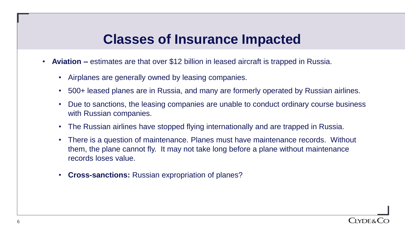- **Aviation –** estimates are that over \$12 billion in leased aircraft is trapped in Russia.
	- Airplanes are generally owned by leasing companies.
	- 500+ leased planes are in Russia, and many are formerly operated by Russian airlines.
	- Due to sanctions, the leasing companies are unable to conduct ordinary course business with Russian companies.
	- The Russian airlines have stopped flying internationally and are trapped in Russia.
	- There is a question of maintenance. Planes must have maintenance records. Without them, the plane cannot fly. It may not take long before a plane without maintenance records loses value.
	- **Cross-sanctions:** Russian expropriation of planes?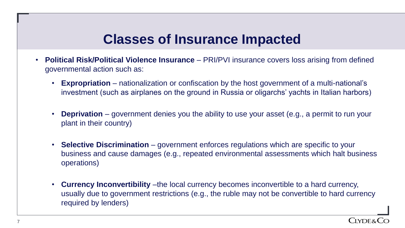- **Political Risk/Political Violence Insurance**  PRI/PVI insurance covers loss arising from defined governmental action such as:
	- **Expropriation** nationalization or confiscation by the host government of a multi-national's investment (such as airplanes on the ground in Russia or oligarchs' yachts in Italian harbors)
	- **Deprivation** government denies you the ability to use your asset (e.g., a permit to run your plant in their country)
	- **Selective Discrimination** government enforces regulations which are specific to your business and cause damages (e.g., repeated environmental assessments which halt business operations)
	- **Currency Inconvertibility** –the local currency becomes inconvertible to a hard currency, usually due to government restrictions (e.g., the ruble may not be convertible to hard currency required by lenders)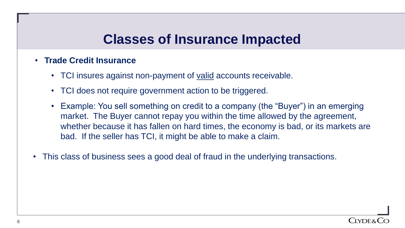#### • **Trade Credit Insurance**

- TCI insures against non-payment of <u>valid</u> accounts receivable.
- TCI does not require government action to be triggered.
- Example: You sell something on credit to a company (the "Buyer") in an emerging market. The Buyer cannot repay you within the time allowed by the agreement, whether because it has fallen on hard times, the economy is bad, or its markets are bad. If the seller has TCI, it might be able to make a claim.
- This class of business sees a good deal of fraud in the underlying transactions.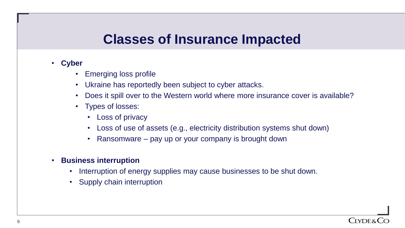- **Cyber** 
	- Emerging loss profile
	- Ukraine has reportedly been subject to cyber attacks.
	- Does it spill over to the Western world where more insurance cover is available?
	- Types of losses:
		- Loss of privacy
		- Loss of use of assets (e.g., electricity distribution systems shut down)
		- Ransomware pay up or your company is brought down
- **Business interruption** 
	- Interruption of energy supplies may cause businesses to be shut down.
	- Supply chain interruption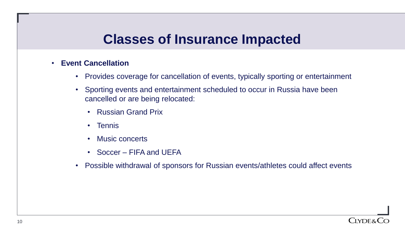#### • **Event Cancellation**

- Provides coverage for cancellation of events, typically sporting or entertainment
- Sporting events and entertainment scheduled to occur in Russia have been cancelled or are being relocated:
	- Russian Grand Prix
	- Tennis
	- Music concerts
	- Soccer FIFA and UEFA
- Possible withdrawal of sponsors for Russian events/athletes could affect events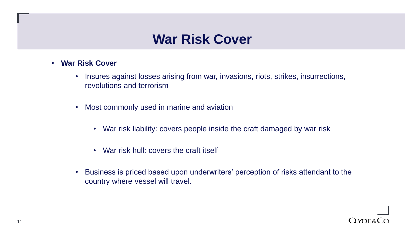#### **War Risk Cover**

- **War Risk Cover**
	- Insures against losses arising from war, invasions, riots, strikes, insurrections, revolutions and terrorism
	- Most commonly used in marine and aviation
		- War risk liability: covers people inside the craft damaged by war risk
		- War risk hull: covers the craft itself
	- Business is priced based upon underwriters' perception of risks attendant to the country where vessel will travel.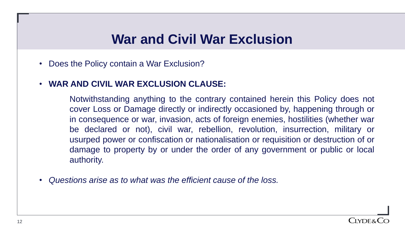#### **War and Civil War Exclusion**

- Does the Policy contain a War Exclusion?
- **WAR AND CIVIL WAR EXCLUSION CLAUSE:**

Notwithstanding anything to the contrary contained herein this Policy does not cover Loss or Damage directly or indirectly occasioned by, happening through or in consequence or war, invasion, acts of foreign enemies, hostilities (whether war be declared or not), civil war, rebellion, revolution, insurrection, military or usurped power or confiscation or nationalisation or requisition or destruction of or damage to property by or under the order of any government or public or local authority.

• *Questions arise as to what was the efficient cause of the loss.*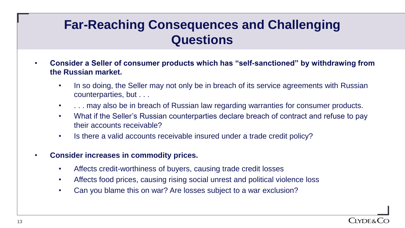### **Far-Reaching Consequences and Challenging Questions**

- **Consider a Seller of consumer products which has "self-sanctioned" by withdrawing from the Russian market.**
	- In so doing, the Seller may not only be in breach of its service agreements with Russian counterparties, but . . .
	- ... may also be in breach of Russian law regarding warranties for consumer products.
	- What if the Seller's Russian counterparties declare breach of contract and refuse to pay their accounts receivable?
	- Is there a valid accounts receivable insured under a trade credit policy?
- **Consider increases in commodity prices.**
	- Affects credit-worthiness of buyers, causing trade credit losses
	- Affects food prices, causing rising social unrest and political violence loss
	- Can you blame this on war? Are losses subject to a war exclusion?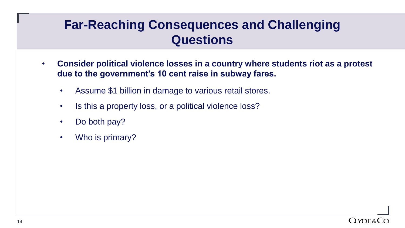### **Far-Reaching Consequences and Challenging Questions**

- **Consider political violence losses in a country where students riot as a protest due to the government's 10 cent raise in subway fares.**
	- Assume \$1 billion in damage to various retail stores.
	- Is this a property loss, or a political violence loss?
	- Do both pay?
	- Who is primary?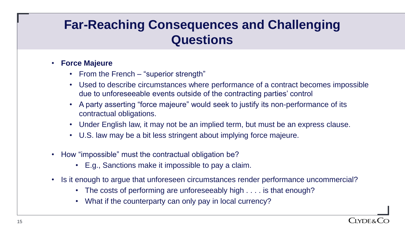### **Far-Reaching Consequences and Challenging Questions**

#### • **Force Majeure**

- From the French "superior strength"
- Used to describe circumstances where performance of a contract becomes impossible due to unforeseeable events outside of the contracting parties' control
- A party asserting "force majeure" would seek to justify its non-performance of its contractual obligations.
- Under English law, it may not be an implied term, but must be an express clause.
- U.S. law may be a bit less stringent about implying force majeure.
- How "impossible" must the contractual obligation be?
	- E.g., Sanctions make it impossible to pay a claim.
- Is it enough to argue that unforeseen circumstances render performance uncommercial?
	- The costs of performing are unforeseeably high . . . . is that enough?
	- What if the counterparty can only pay in local currency?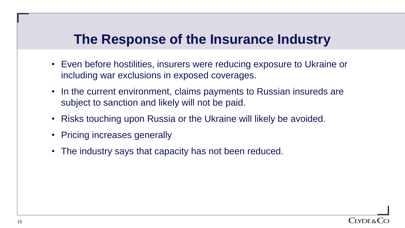### **The Response of the Insurance Industry**

- Even before hostilities, insurers were reducing exposure to Ukraine or including war exclusions in exposed coverages.
- In the current environment, claims payments to Russian insureds are subject to sanction and likely will not be paid.
- Risks touching upon Russia or the Ukraine will likely be avoided.
- Pricing increases generally
- The industry says that capacity has not been reduced.